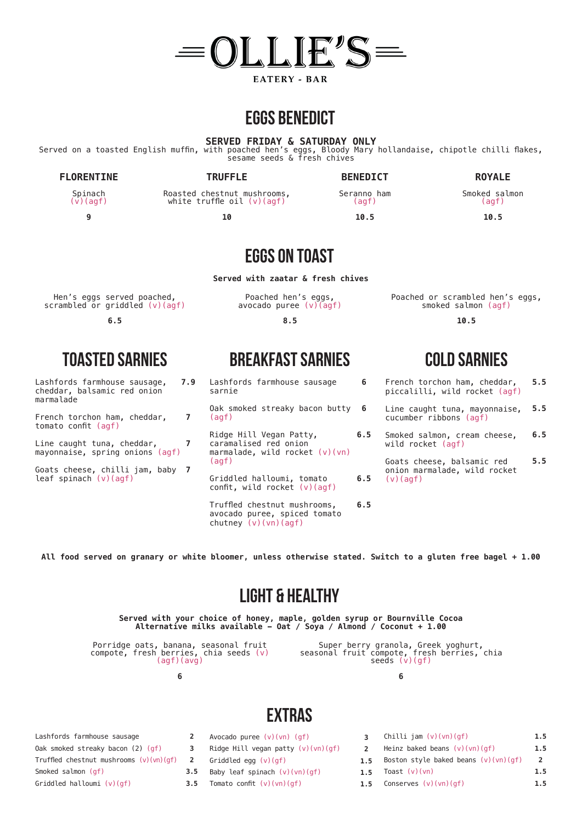

### **eggs benedict**

**SERVED FRIDAY & SATURDAY ONLY**

Served on a toasted English muffin, with poached hen's eggs, Bloody Mary hollandaise, chipotle chilli flakes, sesame seeds & fresh chives

#### **FLORENTINE**

**TRUFFLE**

Spinach (v)(agf)

**9**

Roasted chestnut mushrooms, white truffle oil (v)(agf)

**10**

**BENEDICT** Seranno ham (agf) **10.5**

**Served with zaatar & fresh chives**

Poached hen's eggs, avocado puree (v)(agf) **8.5**

**EGGS ON TOAST**

| Hen's eggs served poached,       |
|----------------------------------|
| scrambled or griddled $(v)(agf)$ |

**6.5**

Lashfords farmhouse sausage, cheddar, balsamic red onion marmalade **7.9**

French torchon ham, cheddar, tomato confit (agf)

Line caught tuna, cheddar, mayonnaise, spring onions (agf) **7**

Goats cheese, chilli jam, baby **7** leaf spinach  $(v)(agf)$ 

## **TOASTED sarnies BREAKFAST sarnies COLD sarnies**

- Lashfords farmhouse sausage sarnie **6**
- Oak smoked streaky bacon butty (agf) **6**

Ridge Hill Vegan Patty, caramalised red onion marmalade, wild rocket (v)(vn) (agf) **6.5**

Griddled halloumi, tomato confit, wild rocket (v)(agf) **6.5**

Truffled chestnut mushrooms, avocado puree, spiced tomato chutney (v)(vn)(agf) **6.5** Poached or scrambled hen's eggs, smoked salmon (agf)

**ROYALE** Smoked salmon (agf) **10.5**

**10.5**

- French torchon ham, cheddar, piccalilli, wild rocket (agf) **5.5**
- Line caught tuna, mayonnaise, cucumber ribbons (agf) **5.5**
- Smoked salmon, cream cheese, wild rocket (agf) **6.5**

Goats cheese, balsamic red onion marmalade, wild rocket  $(v)(\text{a}$ gf) **5.5**

**All food served on granary or white bloomer, unless otherwise stated. Switch to a gluten free bagel + 1.00**

## **light & healthy**

**Served with your choice of honey, maple, golden syrup or Bournville Cocoa Alternative milks available - Oat / Soya / Almond / Coconut + 1.00**

Porridge oats, banana, seasonal fruit compote, fresh berries, chia seeds (v) (agf)(avg)

**7**

**6**

**2 3**

Super berry granola, Greek yoghurt, seasonal fruit compote, fresh berries, chia seeds (v)(gf)

**6**

## **extras**

- Avocado puree (v)(vn) (gf)
- Ridge Hill vegan patty  $(v)(vn)(qf)$
- **2** Griddled egg (v)(gf)
- **3.5** Baby leaf spinach  $(v)(vn)(gf)$
- **3.5** Tomato confit  $(v)(vn)(af)$
- **3** Chilli jam (v)(vn)(gf)
- **2** Heinz baked beans  $(v)(vn)(gf)$ **1.5**

**1.5**

**1.5**

- **1.5** Boston style baked beans (v)(vn)(gf) **2 1.5**
- **1.5** Toast (v)(vn)
- **1.5** Conserves (v)(vn)(gf)

Truffled chestnut mushrooms (v)(vn)(gf)

Smoked salmon (gf)

Griddled halloumi (v)(gf)

Lashfords farmhouse sausage Oak smoked streaky bacon (2) (gf)